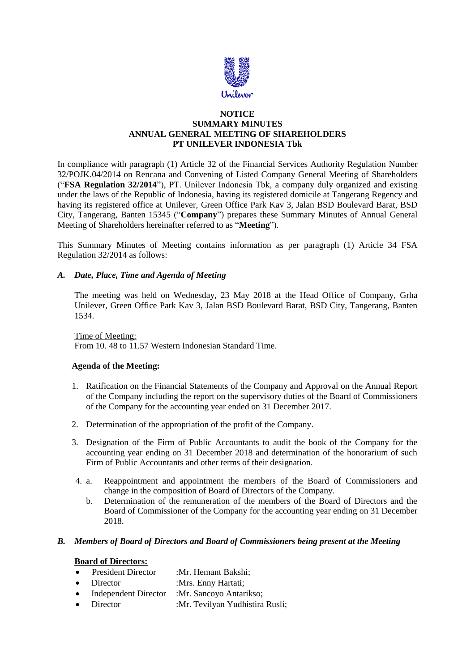

## **NOTICE SUMMARY MINUTES ANNUAL GENERAL MEETING OF SHAREHOLDERS PT UNILEVER INDONESIA Tbk**

In compliance with paragraph (1) Article 32 of the Financial Services Authority Regulation Number 32/POJK.04/2014 on Rencana and Convening of Listed Company General Meeting of Shareholders ("**FSA Regulation 32/2014**"), PT. Unilever Indonesia Tbk, a company duly organized and existing under the laws of the Republic of Indonesia, having its registered domicile at Tangerang Regency and having its registered office at Unilever, Green Office Park Kav 3, Jalan BSD Boulevard Barat, BSD City, Tangerang, Banten 15345 ("**Company**") prepares these Summary Minutes of Annual General Meeting of Shareholders hereinafter referred to as "**Meeting**").

This Summary Minutes of Meeting contains information as per paragraph (1) Article 34 FSA Regulation 32/2014 as follows:

# *A. Date, Place, Time and Agenda of Meeting*

The meeting was held on Wednesday, 23 May 2018 at the Head Office of Company, Grha Unilever, Green Office Park Kav 3, Jalan BSD Boulevard Barat, BSD City, Tangerang, Banten 1534.

### Time of Meeting:

From 10. 48 to 11.57 Western Indonesian Standard Time.

### **Agenda of the Meeting:**

- 1. Ratification on the Financial Statements of the Company and Approval on the Annual Report of the Company including the report on the supervisory duties of the Board of Commissioners of the Company for the accounting year ended on 31 December 2017.
- 2. Determination of the appropriation of the profit of the Company.
- 3. Designation of the Firm of Public Accountants to audit the book of the Company for the accounting year ending on 31 December 2018 and determination of the honorarium of such Firm of Public Accountants and other terms of their designation.
- 4. a. Reappointment and appointment the members of the Board of Commissioners and change in the composition of Board of Directors of the Company.
	- b. Determination of the remuneration of the members of the Board of Directors and the Board of Commissioner of the Company for the accounting year ending on 31 December 2018.

### *B. Members of Board of Directors and Board of Commissioners being present at the Meeting*

#### **Board of Directors:**

| $\bullet$ | <b>President Director</b> | :Mr. Hemant Bakshi;             |
|-----------|---------------------------|---------------------------------|
|           | $\bullet$ Director        | :Mrs. Enny Hartati;             |
| $\bullet$ | Independent Director      | :Mr. Sancoyo Antarikso;         |
|           | $\bullet$ Director        | :Mr. Tevilyan Yudhistira Rusli; |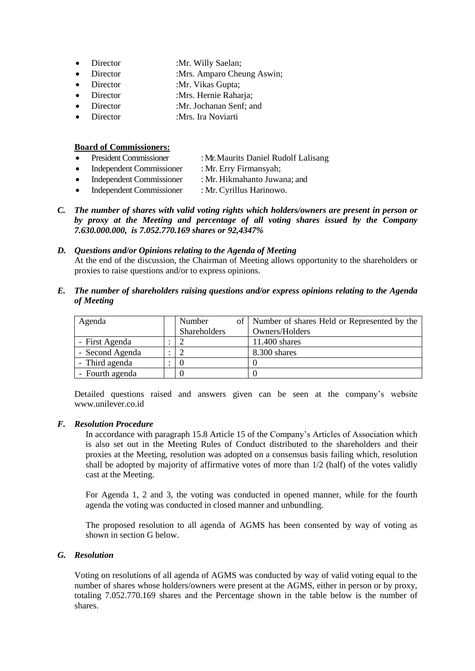- Director :Mr. Willy Saelan;
- Director :Mrs. Amparo Cheung Aswin;
- Director :Mr. Vikas Gupta;
- Director :Mrs. Hernie Raharja;
- Director :Mr. Jochanan Senf; and
- Director :Mrs. Ira Noviarti

### **Board of Commissioners:**

- President Commissioner : Mr. Maurits Daniel Rudolf Lalisang
- Independent Commissioner : Mr. Erry Firmansyah;
- Independent Commissioner : Mr. Hikmahanto Juwana; and
- Independent Commissioner : Mr. Cyrillus Harinowo.
- *C. The number of shares with valid voting rights which holders/owners are present in person or by proxy at the Meeting and percentage of all voting shares issued by the Company 7.630.000.000, is 7.052.770.169 shares or 92,4347%*

### *D. Questions and/or Opinions relating to the Agenda of Meeting*

At the end of the discussion, the Chairman of Meeting allows opportunity to the shareholders or proxies to raise questions and/or to express opinions.

*E. The number of shareholders raising questions and/or express opinions relating to the Agenda of Meeting*

| Agenda          | Number       | of   Number of shares Held or Represented by the |
|-----------------|--------------|--------------------------------------------------|
|                 | Shareholders | Owners/Holders                                   |
| - First Agenda  |              | 11.400 shares                                    |
| - Second Agenda |              | 8.300 shares                                     |
| - Third agenda  | $\left($     |                                                  |
| - Fourth agenda |              |                                                  |

Detailed questions raised and answers given can be seen at the company's website www.unilever.co.id

### *F. Resolution Procedure*

In accordance with paragraph 15.8 Article 15 of the Company's Articles of Association which is also set out in the Meeting Rules of Conduct distributed to the shareholders and their proxies at the Meeting, resolution was adopted on a consensus basis failing which, resolution shall be adopted by majority of affirmative votes of more than 1/2 (half) of the votes validly cast at the Meeting.

For Agenda 1, 2 and 3, the voting was conducted in opened manner, while for the fourth agenda the voting was conducted in closed manner and unbundling.

The proposed resolution to all agenda of AGMS has been consented by way of voting as shown in section G below.

# *G. Resolution*

Voting on resolutions of all agenda of AGMS was conducted by way of valid voting equal to the number of shares whose holders/owners were present at the AGMS, either in person or by proxy, totaling 7.052.770.169 shares and the Percentage shown in the table below is the number of shares.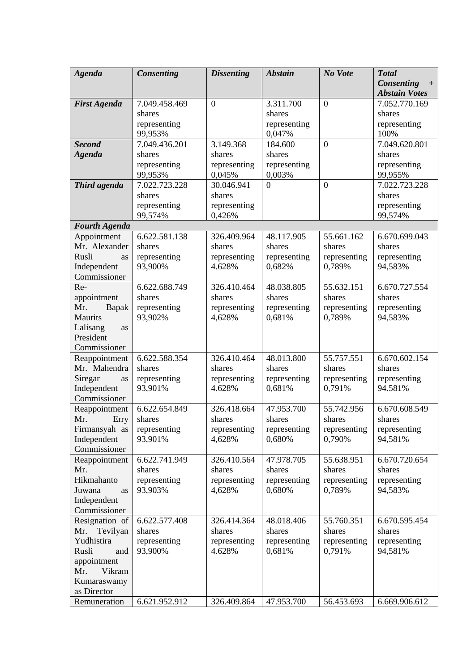| <b>Agenda</b>        | Consenting             | <b>Dissenting</b>      | <b>Abstain</b>       | No Vote                | <b>Total</b>           |
|----------------------|------------------------|------------------------|----------------------|------------------------|------------------------|
|                      |                        |                        |                      |                        | Consenting<br>$+$      |
|                      |                        |                        |                      |                        | <b>Abstain Votes</b>   |
| <b>First Agenda</b>  | 7.049.458.469          | $\boldsymbol{0}$       | 3.311.700            | $\boldsymbol{0}$       | 7.052.770.169          |
|                      | shares                 |                        | shares               |                        | shares                 |
|                      | representing           |                        | representing         |                        | representing           |
|                      | 99,953%                |                        | 0,047%               |                        | 100%                   |
| <b>Second</b>        | 7.049.436.201          | 3.149.368              | 184.600              | $\boldsymbol{0}$       | 7.049.620.801          |
| <b>Agenda</b>        | shares                 | shares                 | shares               |                        | shares                 |
|                      | representing           | representing           | representing         |                        | representing           |
|                      | 99,953%                | 0,045%                 | 0.003%               |                        | 99,955%                |
| Third agenda         | 7.022.723.228          | 30.046.941             | $\overline{0}$       | $\overline{0}$         | 7.022.723.228          |
|                      | shares                 | shares                 |                      |                        | shares                 |
|                      | representing           | representing           |                      |                        | representing           |
|                      | 99,574%                | 0,426%                 |                      |                        | 99,574%                |
| <b>Fourth Agenda</b> |                        |                        |                      |                        |                        |
| Appointment          | 6.622.581.138          | 326.409.964            | 48.117.905           | 55.661.162             | 6.670.699.043          |
| Mr. Alexander        | shares                 | shares                 | shares               | shares                 | shares                 |
| Rusli<br>as          | representing           | representing           | representing         | representing           | representing           |
| Independent          | 93,900%                | 4.628%                 | 0,682%               | 0,789%                 | 94,583%                |
| Commissioner         |                        |                        |                      |                        |                        |
| Re-                  | 6.622.688.749          | 326.410.464            | 48.038.805           | 55.632.151             | 6.670.727.554          |
| appointment          | shares                 | shares                 | shares               | shares                 | shares                 |
| Mr.<br>Bapak         | representing           | representing           | representing         | representing           | representing           |
| Maurits              | 93,902%                | 4,628%                 | 0,681%               | 0,789%                 | 94,583%                |
| Lalisang<br>as       |                        |                        |                      |                        |                        |
| President            |                        |                        |                      |                        |                        |
| Commissioner         |                        |                        |                      |                        |                        |
| Reappointment        | 6.622.588.354          | 326.410.464            | 48.013.800           | 55.757.551             | 6.670.602.154          |
| Mr. Mahendra         | shares                 | shares                 | shares               | shares                 | shares                 |
| Siregar<br>as        | representing           | representing           | representing         | representing           | representing           |
| Independent          | 93,901%                | 4.628%                 | 0,681%               | 0,791%                 | 94.581%                |
| Commissioner         |                        |                        |                      |                        |                        |
| Reappointment        | 6.622.654.849          | 326.418.664            | 47.953.700           | 55.742.956             | 6.670.608.549          |
| Mr.<br>Erry          | shares                 | shares                 | shares               | shares                 | shares                 |
| Firmansyah as        | representing           | representing           | representing         | representing           | representing           |
| Independent          | 93,901%                | 4,628%                 | 0,680%               | 0,790%                 | 94,581%                |
| Commissioner         |                        |                        |                      |                        |                        |
| Reappointment        | 6.622.741.949          | 326.410.564            | 47.978.705<br>shares | 55.638.951             | 6.670.720.654          |
| Mr.<br>Hikmahanto    | shares<br>representing | shares<br>representing | representing         | shares<br>representing | shares<br>representing |
| Juwana               | 93,903%                | 4,628%                 | 0,680%               | 0,789%                 | 94,583%                |
| as<br>Independent    |                        |                        |                      |                        |                        |
| Commissioner         |                        |                        |                      |                        |                        |
| Resignation of       | 6.622.577.408          | 326.414.364            | 48.018.406           | 55.760.351             | 6.670.595.454          |
| Mr.<br>Tevilyan      | shares                 | shares                 | shares               | shares                 | shares                 |
| Yudhistira           | representing           | representing           | representing         | representing           | representing           |
| Rusli<br>and         | 93,900%                | 4.628%                 | 0,681%               | 0,791%                 | 94,581%                |
| appointment          |                        |                        |                      |                        |                        |
| Vikram<br>Mr.        |                        |                        |                      |                        |                        |
| Kumaraswamy          |                        |                        |                      |                        |                        |
| as Director          |                        |                        |                      |                        |                        |
| Remuneration         | 6.621.952.912          | 326.409.864            | 47.953.700           | 56.453.693             | 6.669.906.612          |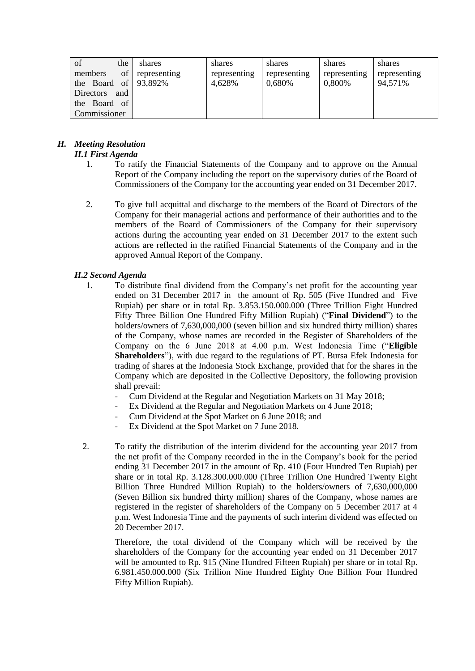| of<br>the                    | shares       | shares       | shares       | shares       | shares       |
|------------------------------|--------------|--------------|--------------|--------------|--------------|
| <sub>of</sub><br>members     | representing | representing | representing | representing | representing |
| the Board of $\vert$ 93,892% |              | 4,628%       | 0.680%       | 0,800%       | 94,571%      |
| Directors<br>and             |              |              |              |              |              |
| the Board of                 |              |              |              |              |              |
| Commissioner                 |              |              |              |              |              |

#### *H. Meeting Resolution H.1 First Agenda*

- 1. To ratify the Financial Statements of the Company and to approve on the Annual Report of the Company including the report on the supervisory duties of the Board of Commissioners of the Company for the accounting year ended on 31 December 2017.
- 2. To give full acquittal and discharge to the members of the Board of Directors of the Company for their managerial actions and performance of their authorities and to the members of the Board of Commissioners of the Company for their supervisory actions during the accounting year ended on 31 December 2017 to the extent such actions are reflected in the ratified Financial Statements of the Company and in the approved Annual Report of the Company.

# *H.2 Second Agenda*

- 1. To distribute final dividend from the Company's net profit for the accounting year ended on 31 December 2017 in the amount of Rp. 505 (Five Hundred and Five Rupiah) per share or in total Rp. 3.853.150.000.000 (Three Trillion Eight Hundred Fifty Three Billion One Hundred Fifty Million Rupiah) ("**Final Dividend**") to the holders/owners of 7,630,000,000 (seven billion and six hundred thirty million) shares of the Company, whose names are recorded in the Register of Shareholders of the Company on the 6 June 2018 at 4.00 p.m. West Indonesia Time ("**Eligible Shareholders**"), with due regard to the regulations of PT. Bursa Efek Indonesia for trading of shares at the Indonesia Stock Exchange, provided that for the shares in the Company which are deposited in the Collective Depository, the following provision shall prevail:
	- Cum Dividend at the Regular and Negotiation Markets on 31 May 2018;
	- Ex Dividend at the Regular and Negotiation Markets on 4 June 2018;
	- Cum Dividend at the Spot Market on 6 June 2018; and
	- Ex Dividend at the Spot Market on 7 June 2018.
- 2. To ratify the distribution of the interim dividend for the accounting year 2017 from the net profit of the Company recorded in the in the Company's book for the period ending 31 December 2017 in the amount of Rp. 410 (Four Hundred Ten Rupiah) per share or in total Rp. 3.128.300.000.000 (Three Trillion One Hundred Twenty Eight Billion Three Hundred Million Rupiah) to the holders/owners of 7,630,000,000 (Seven Billion six hundred thirty million) shares of the Company, whose names are registered in the register of shareholders of the Company on 5 December 2017 at 4 p.m. West Indonesia Time and the payments of such interim dividend was effected on 20 December 2017.

Therefore, the total dividend of the Company which will be received by the shareholders of the Company for the accounting year ended on 31 December 2017 will be amounted to Rp. 915 (Nine Hundred Fifteen Rupiah) per share or in total Rp. 6.981.450.000.000 (Six Trillion Nine Hundred Eighty One Billion Four Hundred Fifty Million Rupiah).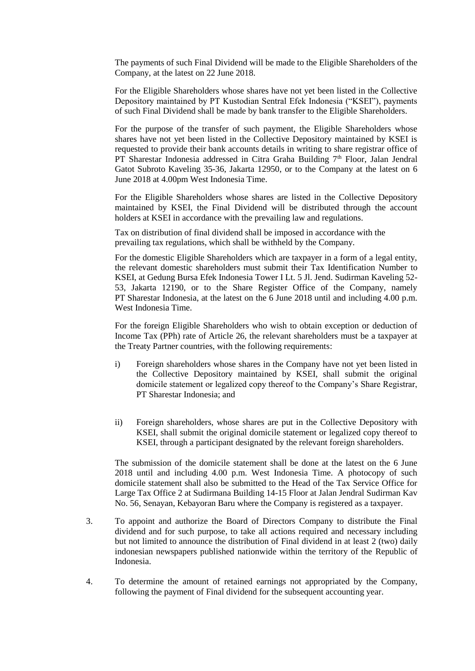The payments of such Final Dividend will be made to the Eligible Shareholders of the Company, at the latest on 22 June 2018.

For the Eligible Shareholders whose shares have not yet been listed in the Collective Depository maintained by PT Kustodian Sentral Efek Indonesia ("KSEI"), payments of such Final Dividend shall be made by bank transfer to the Eligible Shareholders.

For the purpose of the transfer of such payment, the Eligible Shareholders whose shares have not yet been listed in the Collective Depository maintained by KSEI is requested to provide their bank accounts details in writing to share registrar office of PT Sharestar Indonesia addressed in Citra Graha Building 7<sup>th</sup> Floor, Jalan Jendral Gatot Subroto Kaveling 35-36, Jakarta 12950, or to the Company at the latest on 6 June 2018 at 4.00pm West Indonesia Time.

For the Eligible Shareholders whose shares are listed in the Collective Depository maintained by KSEI, the Final Dividend will be distributed through the account holders at KSEI in accordance with the prevailing law and regulations.

Tax on distribution of final dividend shall be imposed in accordance with the prevailing tax regulations, which shall be withheld by the Company.

For the domestic Eligible Shareholders which are taxpayer in a form of a legal entity, the relevant domestic shareholders must submit their Tax Identification Number to KSEI, at Gedung Bursa Efek Indonesia Tower I Lt. 5 Jl. Jend. Sudirman Kaveling 52- 53, Jakarta 12190, or to the Share Register Office of the Company, namely PT Sharestar Indonesia, at the latest on the 6 June 2018 until and including 4.00 p.m. West Indonesia Time.

For the foreign Eligible Shareholders who wish to obtain exception or deduction of Income Tax (PPh) rate of Article 26, the relevant shareholders must be a taxpayer at the Treaty Partner countries, with the following requirements:

- i) Foreign shareholders whose shares in the Company have not yet been listed in the Collective Depository maintained by KSEI, shall submit the original domicile statement or legalized copy thereof to the Company's Share Registrar, PT Sharestar Indonesia; and
- ii) Foreign shareholders, whose shares are put in the Collective Depository with KSEI, shall submit the original domicile statement or legalized copy thereof to KSEI, through a participant designated by the relevant foreign shareholders.

The submission of the domicile statement shall be done at the latest on the 6 June 2018 until and including 4.00 p.m. West Indonesia Time. A photocopy of such domicile statement shall also be submitted to the Head of the Tax Service Office for Large Tax Office 2 at Sudirmana Building 14-15 Floor at Jalan Jendral Sudirman Kav No. 56, Senayan, Kebayoran Baru where the Company is registered as a taxpayer.

- 3. To appoint and authorize the Board of Directors Company to distribute the Final dividend and for such purpose, to take all actions required and necessary including but not limited to announce the distribution of Final dividend in at least 2 (two) daily indonesian newspapers published nationwide within the territory of the Republic of Indonesia.
- 4. To determine the amount of retained earnings not appropriated by the Company, following the payment of Final dividend for the subsequent accounting year.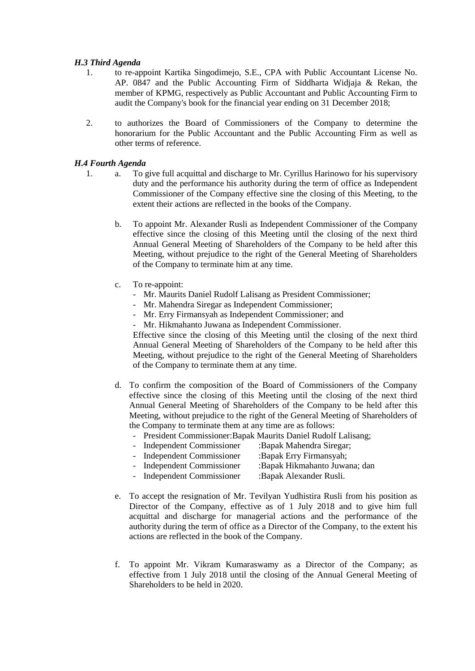### *H.3 Third Agenda*

- 1. to re-appoint Kartika Singodimejo, S.E., CPA with Public Accountant License No. AP. 0847 and the Public Accounting Firm of Siddharta Widjaja & Rekan, the member of KPMG, respectively as Public Accountant and Public Accounting Firm to audit the Company's book for the financial year ending on 31 December 2018;
- 2. to authorizes the Board of Commissioners of the Company to determine the honorarium for the Public Accountant and the Public Accounting Firm as well as other terms of reference.

# *H.4 Fourth Agenda*

- 1. a. To give full acquittal and discharge to Mr. Cyrillus Harinowo for his supervisory duty and the performance his authority during the term of office as Independent Commissioner of the Company effective sine the closing of this Meeting, to the extent their actions are reflected in the books of the Company.
	- b. To appoint Mr. Alexander Rusli as Independent Commissioner of the Company effective since the closing of this Meeting until the closing of the next third Annual General Meeting of Shareholders of the Company to be held after this Meeting, without prejudice to the right of the General Meeting of Shareholders of the Company to terminate him at any time.
	- c. To re-appoint:
		- Mr. Maurits Daniel Rudolf Lalisang as President Commissioner;
		- Mr. Mahendra Siregar as Independent Commissioner;
		- Mr. Erry Firmansyah as Independent Commissioner; and
		- Mr. Hikmahanto Juwana as Independent Commissioner.

Effective since the closing of this Meeting until the closing of the next third Annual General Meeting of Shareholders of the Company to be held after this Meeting, without prejudice to the right of the General Meeting of Shareholders of the Company to terminate them at any time.

- d. To confirm the composition of the Board of Commissioners of the Company effective since the closing of this Meeting until the closing of the next third Annual General Meeting of Shareholders of the Company to be held after this Meeting, without prejudice to the right of the General Meeting of Shareholders of the Company to terminate them at any time are as follows:
	- President Commissioner:Bapak Maurits Daniel Rudolf Lalisang;
	- Independent Commissioner :Bapak Mahendra Siregar;
	- Independent Commissioner :Bapak Erry Firmansyah;
	- Independent Commissioner :Bapak Hikmahanto Juwana; dan
	- Independent Commissioner :Bapak Alexander Rusli.
- e. To accept the resignation of Mr. Tevilyan Yudhistira Rusli from his position as Director of the Company, effective as of 1 July 2018 and to give him full acquittal and discharge for managerial actions and the performance of the authority during the term of office as a Director of the Company, to the extent his actions are reflected in the book of the Company.
- f. To appoint Mr. Vikram Kumaraswamy as a Director of the Company; as effective from 1 July 2018 until the closing of the Annual General Meeting of Shareholders to be held in 2020.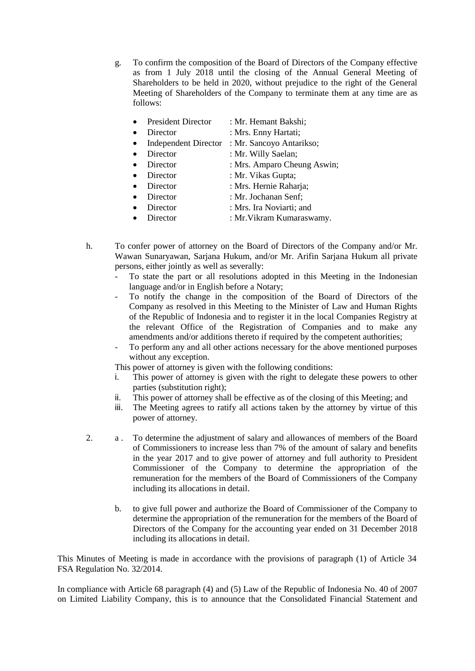g. To confirm the composition of the Board of Directors of the Company effective as from 1 July 2018 until the closing of the Annual General Meeting of Shareholders to be held in 2020, without prejudice to the right of the General Meeting of Shareholders of the Company to terminate them at any time are as follows:

|           | <b>President Director</b> | : Mr. Hemant Bakshi;                          |
|-----------|---------------------------|-----------------------------------------------|
|           | Director                  | : Mrs. Enny Hartati;                          |
| $\bullet$ |                           | Independent Director : Mr. Sancoyo Antarikso; |
|           | Director                  | : Mr. Willy Saelan;                           |
|           | Director                  | : Mrs. Amparo Cheung Aswin;                   |
|           | Director                  | : Mr. Vikas Gupta;                            |
|           | Director                  | : Mrs. Hernie Raharja;                        |

- Director : Mr. Jochanan Senf;
- Director : Mrs. Ira Noviarti; and
- Director : Mr. Vikram Kumaraswamy.
- h. To confer power of attorney on the Board of Directors of the Company and/or Mr. Wawan Sunaryawan, Sarjana Hukum, and/or Mr. Arifin Sarjana Hukum all private persons, either jointly as well as severally:
	- To state the part or all resolutions adopted in this Meeting in the Indonesian language and/or in English before a Notary;
	- To notify the change in the composition of the Board of Directors of the Company as resolved in this Meeting to the Minister of Law and Human Rights of the Republic of Indonesia and to register it in the local Companies Registry at the relevant Office of the Registration of Companies and to make any amendments and/or additions thereto if required by the competent authorities;
	- To perform any and all other actions necessary for the above mentioned purposes without any exception.

This power of attorney is given with the following conditions:

- i. This power of attorney is given with the right to delegate these powers to other parties (substitution right);
- ii. This power of attorney shall be effective as of the closing of this Meeting; and
- iii. The Meeting agrees to ratify all actions taken by the attorney by virtue of this power of attorney.
- 2. a . To determine the adjustment of salary and allowances of members of the Board of Commissioners to increase less than 7% of the amount of salary and benefits in the year 2017 and to give power of attorney and full authority to President Commissioner of the Company to determine the appropriation of the remuneration for the members of the Board of Commissioners of the Company including its allocations in detail.
	- b. to give full power and authorize the Board of Commissioner of the Company to determine the appropriation of the remuneration for the members of the Board of Directors of the Company for the accounting year ended on 31 December 2018 including its allocations in detail.

This Minutes of Meeting is made in accordance with the provisions of paragraph (1) of Article 34 FSA Regulation No. 32/2014.

In compliance with Article 68 paragraph (4) and (5) Law of the Republic of Indonesia No. 40 of 2007 on Limited Liability Company, this is to announce that the Consolidated Financial Statement and